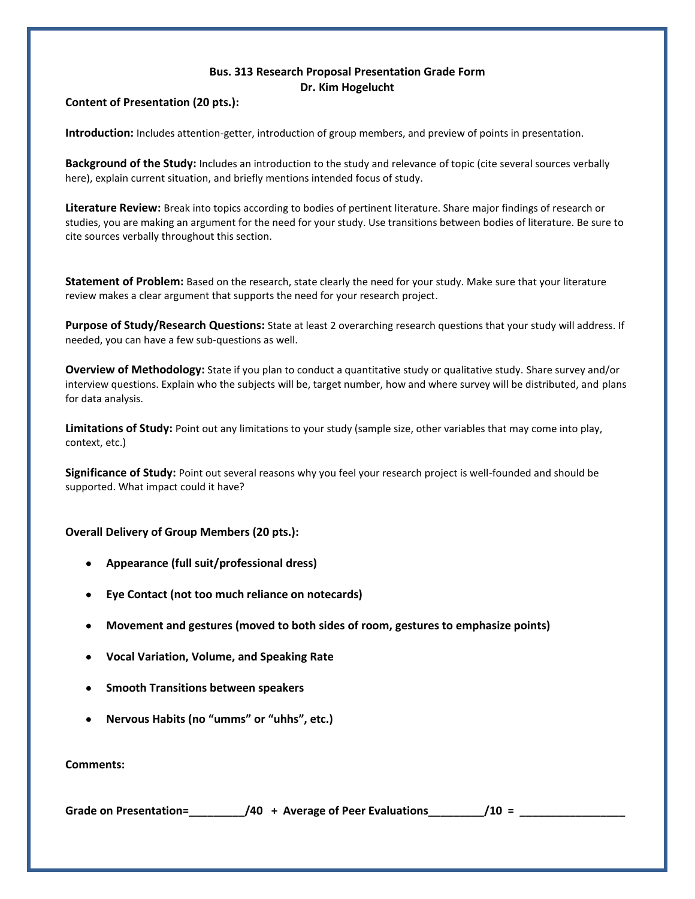## **Bus. 313 Research Proposal Presentation Grade Form Dr. Kim Hogelucht**

## **Content of Presentation (20 pts.):**

**Introduction:** Includes attention-getter, introduction of group members, and preview of points in presentation.

**Background of the Study:** Includes an introduction to the study and relevance of topic (cite several sources verbally here), explain current situation, and briefly mentions intended focus of study.

**Literature Review:** Break into topics according to bodies of pertinent literature. Share major findings of research or studies, you are making an argument for the need for your study. Use transitions between bodies of literature. Be sure to cite sources verbally throughout this section.

**Statement of Problem:** Based on the research, state clearly the need for your study. Make sure that your literature review makes a clear argument that supports the need for your research project.

**Purpose of Study/Research Questions:** State at least 2 overarching research questions that your study will address. If needed, you can have a few sub-questions as well.

**Overview of Methodology:** State if you plan to conduct a quantitative study or qualitative study. Share survey and/or interview questions. Explain who the subjects will be, target number, how and where survey will be distributed, and plans for data analysis.

**Limitations of Study:** Point out any limitations to your study (sample size, other variables that may come into play, context, etc.)

**Significance of Study:** Point out several reasons why you feel your research project is well-founded and should be supported. What impact could it have?

## **Overall Delivery of Group Members (20 pts.):**

- **Appearance (full suit/professional dress)**
- **Eye Contact (not too much reliance on notecards)**
- **Movement and gestures (moved to both sides of room, gestures to emphasize points)**
- **Vocal Variation, Volume, and Speaking Rate**
- **Smooth Transitions between speakers**
- **Nervous Habits (no "umms" or "uhhs", etc.)**

**Comments:**

Grade on Presentation=\_\_\_\_\_\_\_\_\_\_\_\_\_/40 + Average of Peer Evaluations\_\_\_\_\_\_\_\_\_\_/10 =